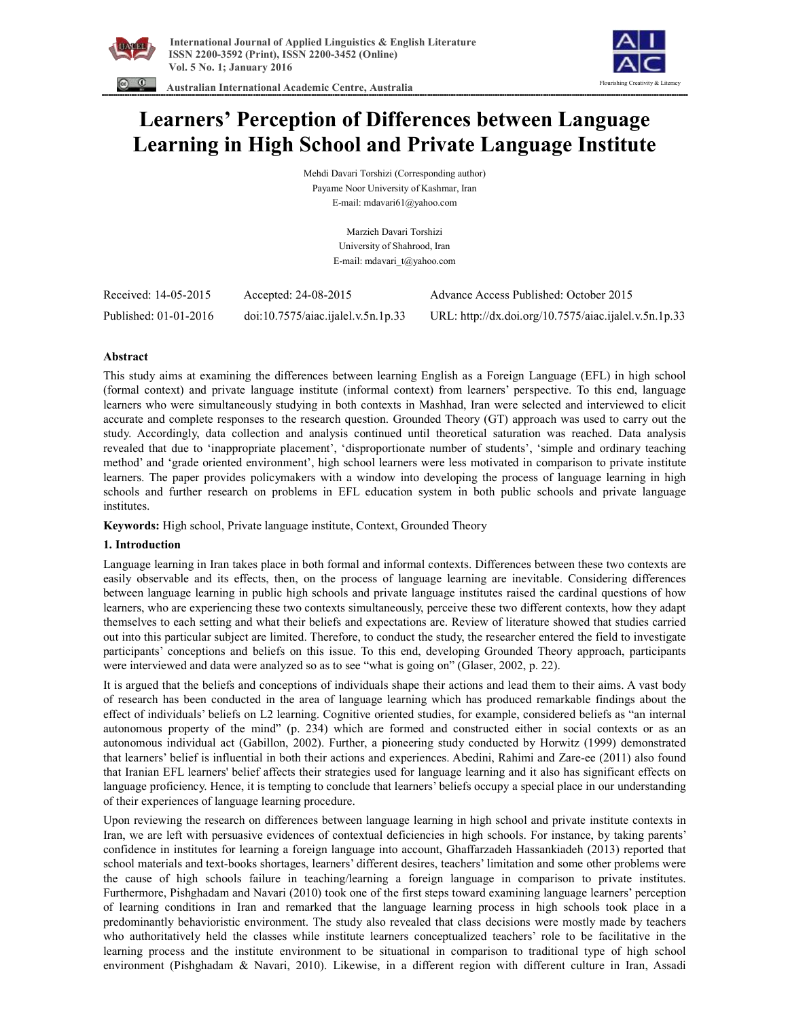



 **Australian International Academic Centre, Australia** 

# **Learners' Perception of Differences between Language Learning in High School and Private Language Institute**

Mehdi Davari Torshizi (Corresponding author) Payame Noor University of Kashmar, Iran E-mail: mdavari61@yahoo.com

> Marzieh Davari Torshizi University of Shahrood, Iran E-mail: mdavari\_t@yahoo.com

| Received: 14-05-2015  | Accepted: 24-08-2015               | Advance Access Published: October 2015                |
|-----------------------|------------------------------------|-------------------------------------------------------|
| Published: 01-01-2016 | doi:10.7575/aiac.ijalel.v.5n.1p.33 | URL: http://dx.doi.org/10.7575/aiac.ijalel.v.5n.1p.33 |

# **Abstract**

This study aims at examining the differences between learning English as a Foreign Language (EFL) in high school (formal context) and private language institute (informal context) from learners' perspective. To this end, language learners who were simultaneously studying in both contexts in Mashhad, Iran were selected and interviewed to elicit accurate and complete responses to the research question. Grounded Theory (GT) approach was used to carry out the study. Accordingly, data collection and analysis continued until theoretical saturation was reached. Data analysis revealed that due to 'inappropriate placement', 'disproportionate number of students', 'simple and ordinary teaching method' and 'grade oriented environment', high school learners were less motivated in comparison to private institute learners. The paper provides policymakers with a window into developing the process of language learning in high schools and further research on problems in EFL education system in both public schools and private language institutes.

**Keywords:** High school, Private language institute, Context, Grounded Theory

# **1. Introduction**

Language learning in Iran takes place in both formal and informal contexts. Differences between these two contexts are easily observable and its effects, then, on the process of language learning are inevitable. Considering differences between language learning in public high schools and private language institutes raised the cardinal questions of how learners, who are experiencing these two contexts simultaneously, perceive these two different contexts, how they adapt themselves to each setting and what their beliefs and expectations are. Review of literature showed that studies carried out into this particular subject are limited. Therefore, to conduct the study, the researcher entered the field to investigate participants' conceptions and beliefs on this issue. To this end, developing Grounded Theory approach, participants were interviewed and data were analyzed so as to see "what is going on" (Glaser, 2002, p. 22).

It is argued that the beliefs and conceptions of individuals shape their actions and lead them to their aims. A vast body of research has been conducted in the area of language learning which has produced remarkable findings about the effect of individuals' beliefs on L2 learning. Cognitive oriented studies, for example, considered beliefs as "an internal autonomous property of the mind" (p. 234) which are formed and constructed either in social contexts or as an autonomous individual act (Gabillon, 2002). Further, a pioneering study conducted by Horwitz (1999) demonstrated that learners' belief is influential in both their actions and experiences. Abedini, Rahimi and Zare-ee (2011) also found that Iranian EFL learners' belief affects their strategies used for language learning and it also has significant effects on language proficiency. Hence, it is tempting to conclude that learners' beliefs occupy a special place in our understanding of their experiences of language learning procedure.

Upon reviewing the research on differences between language learning in high school and private institute contexts in Iran, we are left with persuasive evidences of contextual deficiencies in high schools. For instance, by taking parents' confidence in institutes for learning a foreign language into account, Ghaffarzadeh Hassankiadeh (2013) reported that school materials and text-books shortages, learners' different desires, teachers' limitation and some other problems were the cause of high schools failure in teaching/learning a foreign language in comparison to private institutes. Furthermore, Pishghadam and Navari (2010) took one of the first steps toward examining language learners' perception of learning conditions in Iran and remarked that the language learning process in high schools took place in a predominantly behavioristic environment. The study also revealed that class decisions were mostly made by teachers who authoritatively held the classes while institute learners conceptualized teachers' role to be facilitative in the learning process and the institute environment to be situational in comparison to traditional type of high school environment (Pishghadam & Navari, 2010). Likewise, in a different region with different culture in Iran, Assadi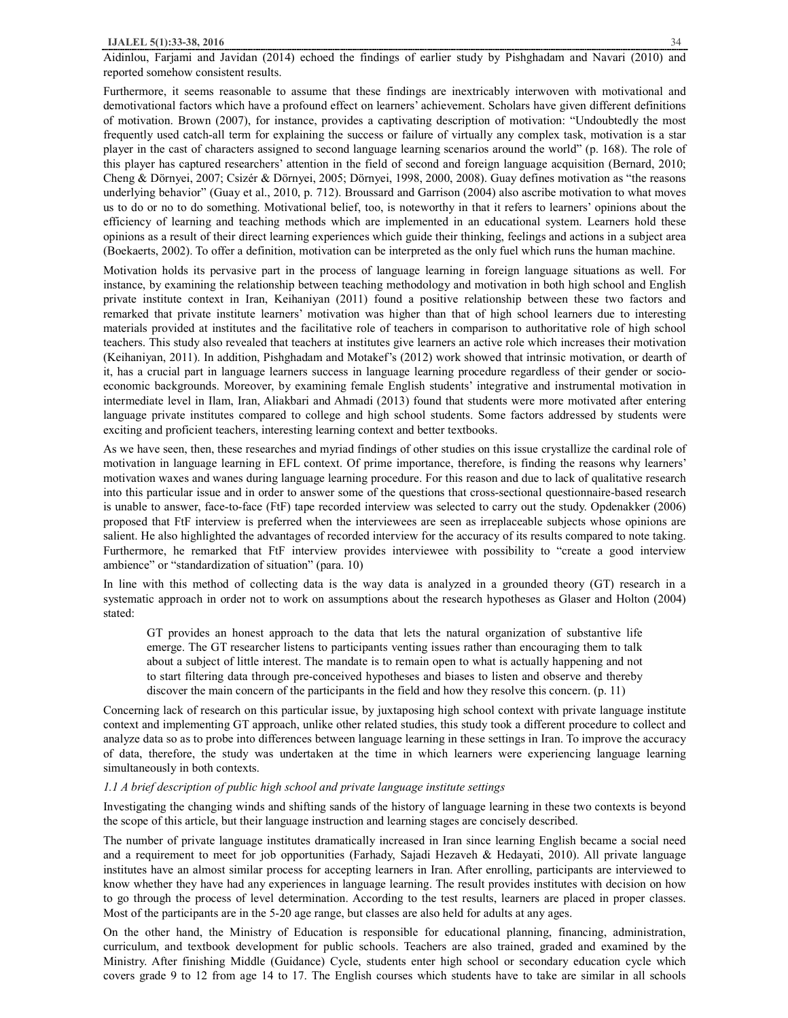## **IJALEL 5(1):33-38, 2016** 34

Aidinlou, Farjami and Javidan (2014) echoed the findings of earlier study by Pishghadam and Navari (2010) and reported somehow consistent results.

Furthermore, it seems reasonable to assume that these findings are inextricably interwoven with motivational and demotivational factors which have a profound effect on learners' achievement. Scholars have given different definitions of motivation. Brown (2007), for instance, provides a captivating description of motivation: "Undoubtedly the most frequently used catch-all term for explaining the success or failure of virtually any complex task, motivation is a star player in the cast of characters assigned to second language learning scenarios around the world" (p. 168). The role of this player has captured researchers' attention in the field of second and foreign language acquisition (Bernard, 2010; Cheng & Dörnyei, 2007; Csizér & Dörnyei, 2005; Dörnyei, 1998, 2000, 2008). Guay defines motivation as "the reasons underlying behavior" (Guay et al., 2010, p. 712). Broussard and Garrison (2004) also ascribe motivation to what moves us to do or no to do something. Motivational belief, too, is noteworthy in that it refers to learners' opinions about the efficiency of learning and teaching methods which are implemented in an educational system. Learners hold these opinions as a result of their direct learning experiences which guide their thinking, feelings and actions in a subject area (Boekaerts, 2002). To offer a definition, motivation can be interpreted as the only fuel which runs the human machine.

Motivation holds its pervasive part in the process of language learning in foreign language situations as well. For instance, by examining the relationship between teaching methodology and motivation in both high school and English private institute context in Iran, Keihaniyan (2011) found a positive relationship between these two factors and remarked that private institute learners' motivation was higher than that of high school learners due to interesting materials provided at institutes and the facilitative role of teachers in comparison to authoritative role of high school teachers. This study also revealed that teachers at institutes give learners an active role which increases their motivation (Keihaniyan, 2011). In addition, Pishghadam and Motakef's (2012) work showed that intrinsic motivation, or dearth of it, has a crucial part in language learners success in language learning procedure regardless of their gender or socioeconomic backgrounds. Moreover, by examining female English students' integrative and instrumental motivation in intermediate level in Ilam, Iran, Aliakbari and Ahmadi (2013) found that students were more motivated after entering language private institutes compared to college and high school students. Some factors addressed by students were exciting and proficient teachers, interesting learning context and better textbooks.

As we have seen, then, these researches and myriad findings of other studies on this issue crystallize the cardinal role of motivation in language learning in EFL context. Of prime importance, therefore, is finding the reasons why learners' motivation waxes and wanes during language learning procedure. For this reason and due to lack of qualitative research into this particular issue and in order to answer some of the questions that cross-sectional questionnaire-based research is unable to answer, face-to-face (FtF) tape recorded interview was selected to carry out the study. Opdenakker (2006) proposed that FtF interview is preferred when the interviewees are seen as irreplaceable subjects whose opinions are salient. He also highlighted the advantages of recorded interview for the accuracy of its results compared to note taking. Furthermore, he remarked that FtF interview provides interviewee with possibility to "create a good interview ambience" or "standardization of situation" (para. 10)

In line with this method of collecting data is the way data is analyzed in a grounded theory (GT) research in a systematic approach in order not to work on assumptions about the research hypotheses as Glaser and Holton (2004) stated:

GT provides an honest approach to the data that lets the natural organization of substantive life emerge. The GT researcher listens to participants venting issues rather than encouraging them to talk about a subject of little interest. The mandate is to remain open to what is actually happening and not to start filtering data through pre-conceived hypotheses and biases to listen and observe and thereby discover the main concern of the participants in the field and how they resolve this concern. (p. 11)

Concerning lack of research on this particular issue, by juxtaposing high school context with private language institute context and implementing GT approach, unlike other related studies, this study took a different procedure to collect and analyze data so as to probe into differences between language learning in these settings in Iran. To improve the accuracy of data, therefore, the study was undertaken at the time in which learners were experiencing language learning simultaneously in both contexts.

#### *1.1 A brief description of public high school and private language institute settings*

Investigating the changing winds and shifting sands of the history of language learning in these two contexts is beyond the scope of this article, but their language instruction and learning stages are concisely described.

The number of private language institutes dramatically increased in Iran since learning English became a social need and a requirement to meet for job opportunities (Farhady, Sajadi Hezaveh & Hedayati, 2010). All private language institutes have an almost similar process for accepting learners in Iran. After enrolling, participants are interviewed to know whether they have had any experiences in language learning. The result provides institutes with decision on how to go through the process of level determination. According to the test results, learners are placed in proper classes. Most of the participants are in the 5-20 age range, but classes are also held for adults at any ages.

On the other hand, the Ministry of Education is responsible for educational planning, financing, administration, curriculum, and textbook development for public schools. Teachers are also trained, graded and examined by the Ministry. After finishing Middle (Guidance) Cycle, students enter high school or secondary education cycle which covers grade 9 to 12 from age 14 to 17. The English courses which students have to take are similar in all schools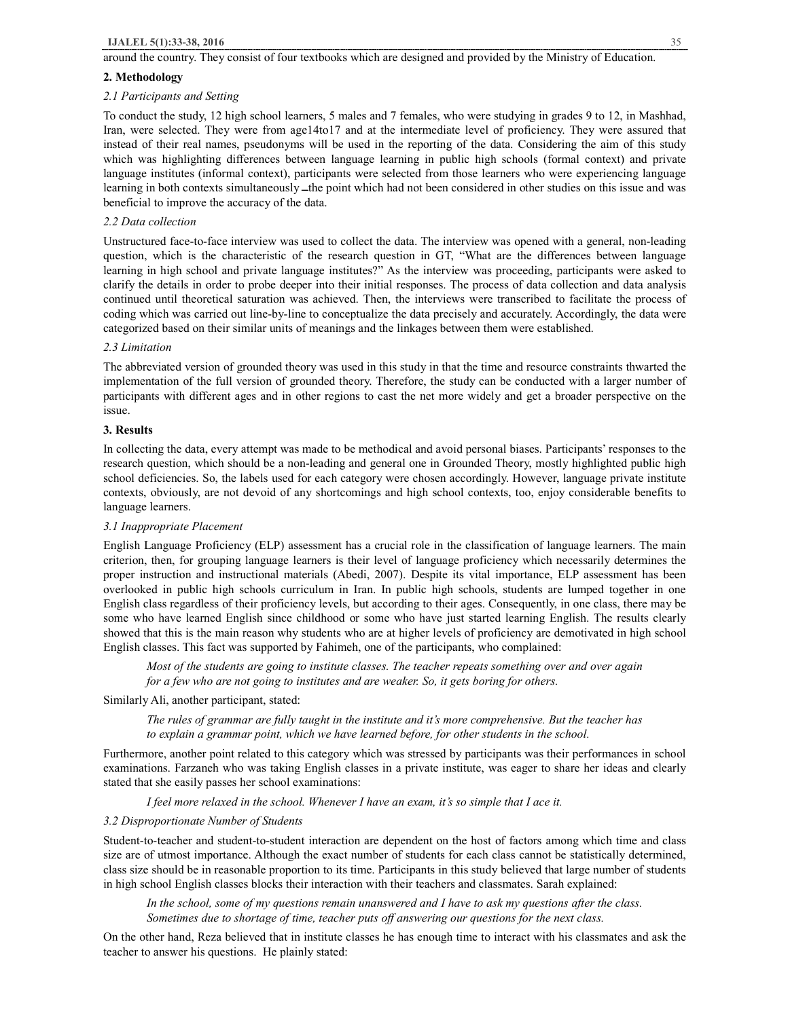## **2. Methodology**

## *2.1 Participants and Setting*

To conduct the study, 12 high school learners, 5 males and 7 females, who were studying in grades 9 to 12, in Mashhad, Iran, were selected. They were from age14to17 and at the intermediate level of proficiency. They were assured that instead of their real names, pseudonyms will be used in the reporting of the data. Considering the aim of this study which was highlighting differences between language learning in public high schools (formal context) and private language institutes (informal context), participants were selected from those learners who were experiencing language learning in both contexts simultaneously – the point which had not been considered in other studies on this issue and was beneficial to improve the accuracy of the data.

## *2.2 Data collection*

Unstructured face-to-face interview was used to collect the data. The interview was opened with a general, non-leading question, which is the characteristic of the research question in GT, "What are the differences between language learning in high school and private language institutes?" As the interview was proceeding, participants were asked to clarify the details in order to probe deeper into their initial responses. The process of data collection and data analysis continued until theoretical saturation was achieved. Then, the interviews were transcribed to facilitate the process of coding which was carried out line-by-line to conceptualize the data precisely and accurately. Accordingly, the data were categorized based on their similar units of meanings and the linkages between them were established.

#### *2.3 Limitation*

The abbreviated version of grounded theory was used in this study in that the time and resource constraints thwarted the implementation of the full version of grounded theory. Therefore, the study can be conducted with a larger number of participants with different ages and in other regions to cast the net more widely and get a broader perspective on the issue.

## **3. Results**

In collecting the data, every attempt was made to be methodical and avoid personal biases. Participants' responses to the research question, which should be a non-leading and general one in Grounded Theory, mostly highlighted public high school deficiencies. So, the labels used for each category were chosen accordingly. However, language private institute contexts, obviously, are not devoid of any shortcomings and high school contexts, too, enjoy considerable benefits to language learners.

# *3.1 Inappropriate Placement*

English Language Proficiency (ELP) assessment has a crucial role in the classification of language learners. The main criterion, then, for grouping language learners is their level of language proficiency which necessarily determines the proper instruction and instructional materials (Abedi, 2007). Despite its vital importance, ELP assessment has been overlooked in public high schools curriculum in Iran. In public high schools, students are lumped together in one English class regardless of their proficiency levels, but according to their ages. Consequently, in one class, there may be some who have learned English since childhood or some who have just started learning English. The results clearly showed that this is the main reason why students who are at higher levels of proficiency are demotivated in high school English classes. This fact was supported by Fahimeh, one of the participants, who complained:

*Most of the students are going to institute classes. The teacher repeats something over and over again for a few who are not going to institutes and are weaker. So, it gets boring for others.* 

Similarly Ali, another participant, stated:

*The rules of grammar are fully taught in the institute and it's more comprehensive. But the teacher has to explain a grammar point, which we have learned before, for other students in the school.* 

Furthermore, another point related to this category which was stressed by participants was their performances in school examinations. Farzaneh who was taking English classes in a private institute, was eager to share her ideas and clearly stated that she easily passes her school examinations:

*I feel more relaxed in the school. Whenever I have an exam, it's so simple that I ace it.* 

# *3.2 Disproportionate Number of Students*

Student-to-teacher and student-to-student interaction are dependent on the host of factors among which time and class size are of utmost importance. Although the exact number of students for each class cannot be statistically determined, class size should be in reasonable proportion to its time. Participants in this study believed that large number of students in high school English classes blocks their interaction with their teachers and classmates. Sarah explained:

*In the school, some of my questions remain unanswered and I have to ask my questions after the class. Sometimes due to shortage of time, teacher puts off answering our questions for the next class.* 

On the other hand, Reza believed that in institute classes he has enough time to interact with his classmates and ask the teacher to answer his questions. He plainly stated: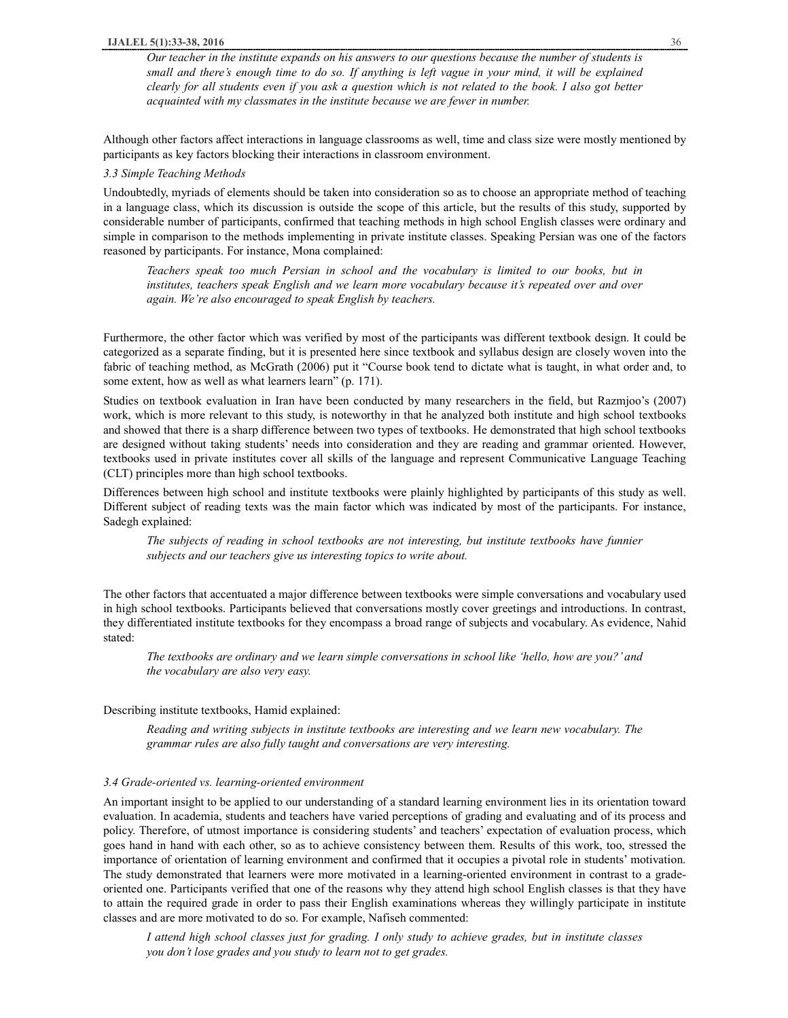*Our teacher in the institute expands on his answers to our questions because the number of students is*  small and there's enough time to do so. If anything is left vague in your mind, it will be explained clearly for all students even if you ask a question which is not related to the book. I also got better *acquainted with my classmates in the institute because we are fewer in number.* 

Although other factors affect interactions in language classrooms as well, time and class size were mostly mentioned by participants as key factors blocking their interactions in classroom environment.

#### *3.3 Simple Teaching Methods*

Undoubtedly, myriads of elements should be taken into consideration so as to choose an appropriate method of teaching in a language class, which its discussion is outside the scope of this article, but the results of this study, supported by considerable number of participants, confirmed that teaching methods in high school English classes were ordinary and simple in comparison to the methods implementing in private institute classes. Speaking Persian was one of the factors reasoned by participants. For instance, Mona complained:

*Teachers speak too much Persian in school and the vocabulary is limited to our books, but in institutes, teachers speak English and we learn more vocabulary because it's repeated over and over again. We're also encouraged to speak English by teachers.* 

Furthermore, the other factor which was verified by most of the participants was different textbook design. It could be categorized as a separate finding, but it is presented here since textbook and syllabus design are closely woven into the fabric of teaching method, as McGrath (2006) put it "Course book tend to dictate what is taught, in what order and, to some extent, how as well as what learners learn" (p. 171).

Studies on textbook evaluation in Iran have been conducted by many researchers in the field, but Razmjoo's (2007) work, which is more relevant to this study, is noteworthy in that he analyzed both institute and high school textbooks and showed that there is a sharp difference between two types of textbooks. He demonstrated that high school textbooks are designed without taking students' needs into consideration and they are reading and grammar oriented. However, textbooks used in private institutes cover all skills of the language and represent Communicative Language Teaching (CLT) principles more than high school textbooks.

Differences between high school and institute textbooks were plainly highlighted by participants of this study as well. Different subject of reading texts was the main factor which was indicated by most of the participants. For instance, Sadegh explained:

*The subjects of reading in school textbooks are not interesting, but institute textbooks have funnier subjects and our teachers give us interesting topics to write about.* 

The other factors that accentuated a major difference between textbooks were simple conversations and vocabulary used in high school textbooks. Participants believed that conversations mostly cover greetings and introductions. In contrast, they differentiated institute textbooks for they encompass a broad range of subjects and vocabulary. As evidence, Nahid stated:

*The textbooks are ordinary and we learn simple conversations in school like 'hello, how are you?' and the vocabulary are also very easy.* 

#### Describing institute textbooks, Hamid explained:

*Reading and writing subjects in institute textbooks are interesting and we learn new vocabulary. The grammar rules are also fully taught and conversations are very interesting.* 

#### *3.4 Grade-oriented vs. learning-oriented environment*

An important insight to be applied to our understanding of a standard learning environment lies in its orientation toward evaluation. In academia, students and teachers have varied perceptions of grading and evaluating and of its process and policy. Therefore, of utmost importance is considering students' and teachers' expectation of evaluation process, which goes hand in hand with each other, so as to achieve consistency between them. Results of this work, too, stressed the importance of orientation of learning environment and confirmed that it occupies a pivotal role in students' motivation. The study demonstrated that learners were more motivated in a learning-oriented environment in contrast to a gradeoriented one. Participants verified that one of the reasons why they attend high school English classes is that they have to attain the required grade in order to pass their English examinations whereas they willingly participate in institute classes and are more motivated to do so. For example, Nafiseh commented:

I attend high school classes just for grading. I only study to achieve grades, but in institute classes *you don't lose grades and you study to learn not to get grades.*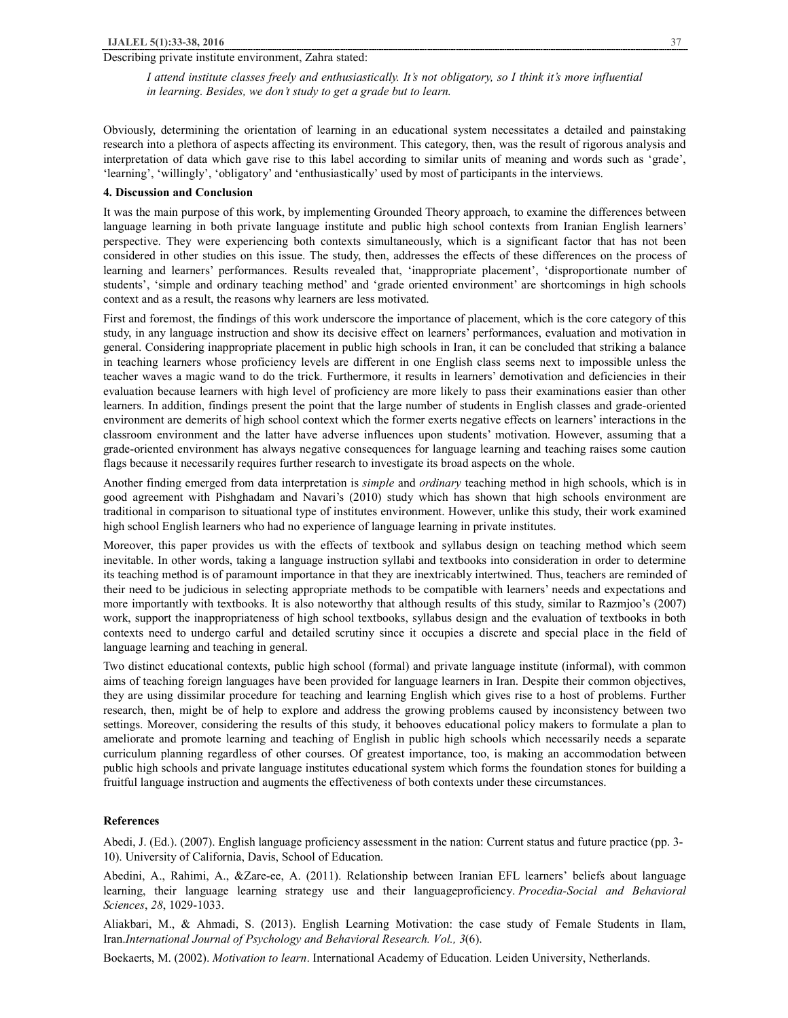## Describing private institute environment, Zahra stated:

*I attend institute classes freely and enthusiastically. It's not obligatory, so I think it's more influential in learning. Besides, we don't study to get a grade but to learn.* 

Obviously, determining the orientation of learning in an educational system necessitates a detailed and painstaking research into a plethora of aspects affecting its environment. This category, then, was the result of rigorous analysis and interpretation of data which gave rise to this label according to similar units of meaning and words such as 'grade', 'learning', 'willingly', 'obligatory' and 'enthusiastically' used by most of participants in the interviews.

#### **4. Discussion and Conclusion**

It was the main purpose of this work, by implementing Grounded Theory approach, to examine the differences between language learning in both private language institute and public high school contexts from Iranian English learners' perspective. They were experiencing both contexts simultaneously, which is a significant factor that has not been considered in other studies on this issue. The study, then, addresses the effects of these differences on the process of learning and learners' performances. Results revealed that, 'inappropriate placement', 'disproportionate number of students', 'simple and ordinary teaching method' and 'grade oriented environment' are shortcomings in high schools context and as a result, the reasons why learners are less motivated.

First and foremost, the findings of this work underscore the importance of placement, which is the core category of this study, in any language instruction and show its decisive effect on learners' performances, evaluation and motivation in general. Considering inappropriate placement in public high schools in Iran, it can be concluded that striking a balance in teaching learners whose proficiency levels are different in one English class seems next to impossible unless the teacher waves a magic wand to do the trick. Furthermore, it results in learners' demotivation and deficiencies in their evaluation because learners with high level of proficiency are more likely to pass their examinations easier than other learners. In addition, findings present the point that the large number of students in English classes and grade-oriented environment are demerits of high school context which the former exerts negative effects on learners' interactions in the classroom environment and the latter have adverse influences upon students' motivation. However, assuming that a grade-oriented environment has always negative consequences for language learning and teaching raises some caution flags because it necessarily requires further research to investigate its broad aspects on the whole.

Another finding emerged from data interpretation is *simple* and *ordinary* teaching method in high schools, which is in good agreement with Pishghadam and Navari's (2010) study which has shown that high schools environment are traditional in comparison to situational type of institutes environment. However, unlike this study, their work examined high school English learners who had no experience of language learning in private institutes.

Moreover, this paper provides us with the effects of textbook and syllabus design on teaching method which seem inevitable. In other words, taking a language instruction syllabi and textbooks into consideration in order to determine its teaching method is of paramount importance in that they are inextricably intertwined. Thus, teachers are reminded of their need to be judicious in selecting appropriate methods to be compatible with learners' needs and expectations and more importantly with textbooks. It is also noteworthy that although results of this study, similar to Razmjoo's (2007) work, support the inappropriateness of high school textbooks, syllabus design and the evaluation of textbooks in both contexts need to undergo carful and detailed scrutiny since it occupies a discrete and special place in the field of language learning and teaching in general.

Two distinct educational contexts, public high school (formal) and private language institute (informal), with common aims of teaching foreign languages have been provided for language learners in Iran. Despite their common objectives, they are using dissimilar procedure for teaching and learning English which gives rise to a host of problems. Further research, then, might be of help to explore and address the growing problems caused by inconsistency between two settings. Moreover, considering the results of this study, it behooves educational policy makers to formulate a plan to ameliorate and promote learning and teaching of English in public high schools which necessarily needs a separate curriculum planning regardless of other courses. Of greatest importance, too, is making an accommodation between public high schools and private language institutes educational system which forms the foundation stones for building a fruitful language instruction and augments the effectiveness of both contexts under these circumstances.

#### **References**

Abedi, J. (Ed.). (2007). English language proficiency assessment in the nation: Current status and future practice (pp. 3- 10). University of California, Davis, School of Education.

Abedini, A., Rahimi, A., &Zare-ee, A. (2011). Relationship between Iranian EFL learners' beliefs about language learning, their language learning strategy use and their languageproficiency. *Procedia-Social and Behavioral Sciences*, *28*, 1029-1033.

Aliakbari, M., & Ahmadi, S. (2013). English Learning Motivation: the case study of Female Students in Ilam, Iran.*International Journal of Psychology and Behavioral Research. Vol., 3*(6).

Boekaerts, M. (2002). *Motivation to learn*. International Academy of Education. Leiden University, Netherlands.